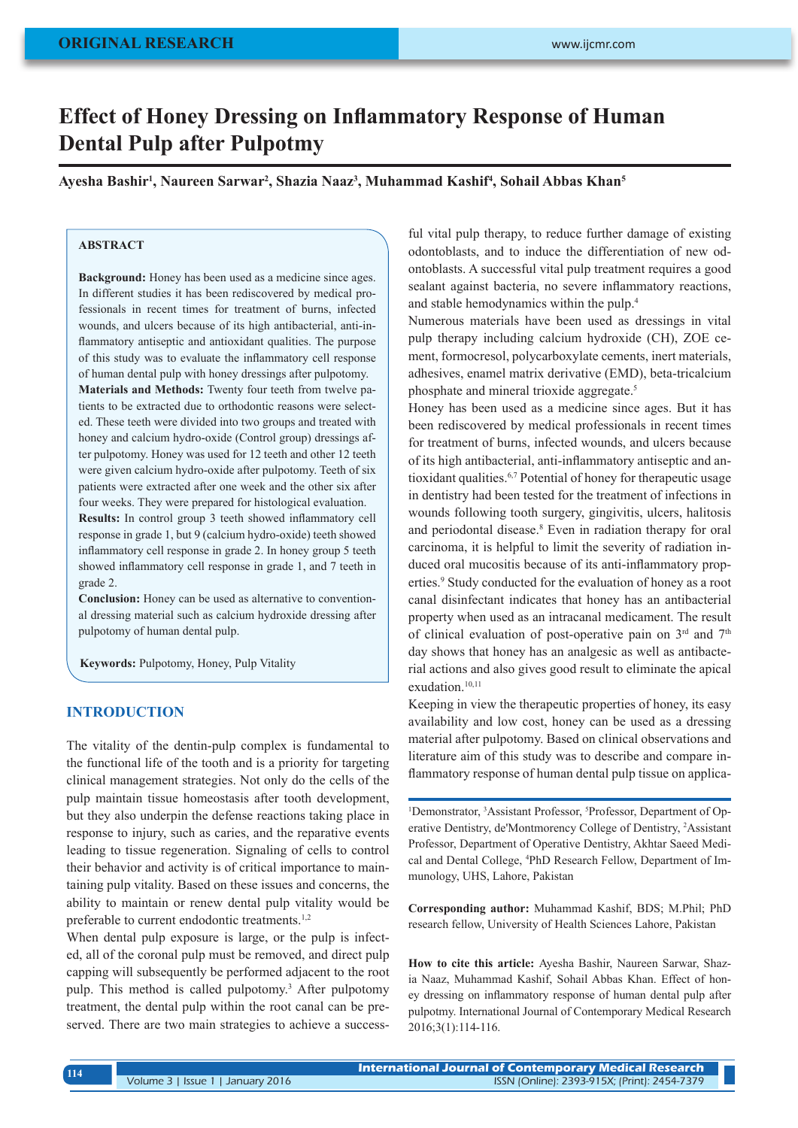# **Effect of Honey Dressing on Inflammatory Response of Human Dental Pulp after Pulpotmy**

**Ayesha Bashir<sup>1</sup> , Naureen Sarwar<sup>2</sup> , Shazia Naaz<sup>3</sup> , Muhammad Kashif<sup>4</sup> , Sohail Abbas Khan<sup>5</sup>**

# **ABSTRACT**

**Background:** Honey has been used as a medicine since ages. In different studies it has been rediscovered by medical professionals in recent times for treatment of burns, infected wounds, and ulcers because of its high antibacterial, anti-inflammatory antiseptic and antioxidant qualities. The purpose of this study was to evaluate the inflammatory cell response of human dental pulp with honey dressings after pulpotomy.

**Materials and Methods:** Twenty four teeth from twelve patients to be extracted due to orthodontic reasons were selected. These teeth were divided into two groups and treated with honey and calcium hydro-oxide (Control group) dressings after pulpotomy. Honey was used for 12 teeth and other 12 teeth were given calcium hydro-oxide after pulpotomy. Teeth of six patients were extracted after one week and the other six after four weeks. They were prepared for histological evaluation.

**Results:** In control group 3 teeth showed inflammatory cell response in grade 1, but 9 (calcium hydro-oxide) teeth showed inflammatory cell response in grade 2. In honey group 5 teeth showed inflammatory cell response in grade 1, and 7 teeth in grade 2.

**Conclusion:** Honey can be used as alternative to conventional dressing material such as calcium hydroxide dressing after pulpotomy of human dental pulp.

**Keywords:** Pulpotomy, Honey, Pulp Vitality

# **INTRODUCTION**

The vitality of the dentin-pulp complex is fundamental to the functional life of the tooth and is a priority for targeting clinical management strategies. Not only do the cells of the pulp maintain tissue homeostasis after tooth development, but they also underpin the defense reactions taking place in response to injury, such as caries, and the reparative events leading to tissue regeneration. Signaling of cells to control their behavior and activity is of critical importance to maintaining pulp vitality. Based on these issues and concerns, the ability to maintain or renew dental pulp vitality would be preferable to current endodontic treatments.1,2

When dental pulp exposure is large, or the pulp is infected, all of the coronal pulp must be removed, and direct pulp capping will subsequently be performed adjacent to the root pulp. This method is called pulpotomy.<sup>3</sup> After pulpotomy treatment, the dental pulp within the root canal can be preserved. There are two main strategies to achieve a success-

ful vital pulp therapy, to reduce further damage of existing odontoblasts, and to induce the differentiation of new odontoblasts. A successful vital pulp treatment requires a good sealant against bacteria, no severe inflammatory reactions, and stable hemodynamics within the pulp.4

Numerous materials have been used as dressings in vital pulp therapy including calcium hydroxide (CH), ZOE cement, formocresol, polycarboxylate cements, inert materials, adhesives, enamel matrix derivative (EMD), beta-tricalcium phosphate and mineral trioxide aggregate.5

Honey has been used as a medicine since ages. But it has been rediscovered by medical professionals in recent times for treatment of burns, infected wounds, and ulcers because of its high antibacterial, anti-inflammatory antiseptic and antioxidant qualities.6,7 Potential of honey for therapeutic usage in dentistry had been tested for the treatment of infections in wounds following tooth surgery, gingivitis, ulcers, halitosis and periodontal disease.<sup>8</sup> Even in radiation therapy for oral carcinoma, it is helpful to limit the severity of radiation induced oral mucositis because of its anti-inflammatory properties.<sup>9</sup> Study conducted for the evaluation of honey as a root canal disinfectant indicates that honey has an antibacterial property when used as an intracanal medicament. The result of clinical evaluation of post-operative pain on  $3<sup>rd</sup>$  and  $7<sup>th</sup>$ day shows that honey has an analgesic as well as antibacterial actions and also gives good result to eliminate the apical exudation.<sup>10,11</sup>

Keeping in view the therapeutic properties of honey, its easy availability and low cost, honey can be used as a dressing material after pulpotomy. Based on clinical observations and literature aim of this study was to describe and compare inflammatory response of human dental pulp tissue on applica-

<sup>1</sup>Demonstrator, <sup>3</sup>Assistant Professor, <sup>5</sup>Professor, Department of Operative Dentistry, de'Montmorency College of Dentistry, <sup>2</sup> Assistant Professor, Department of Operative Dentistry, Akhtar Saeed Medical and Dental College, <sup>4</sup> PhD Research Fellow, Department of Immunology, UHS, Lahore, Pakistan

**Corresponding author:** Muhammad Kashif, BDS; M.Phil; PhD research fellow, University of Health Sciences Lahore, Pakistan

**How to cite this article:** Ayesha Bashir, Naureen Sarwar, Shazia Naaz, Muhammad Kashif, Sohail Abbas Khan. Effect of honey dressing on inflammatory response of human dental pulp after pulpotmy. International Journal of Contemporary Medical Research 2016;3(1):114-116.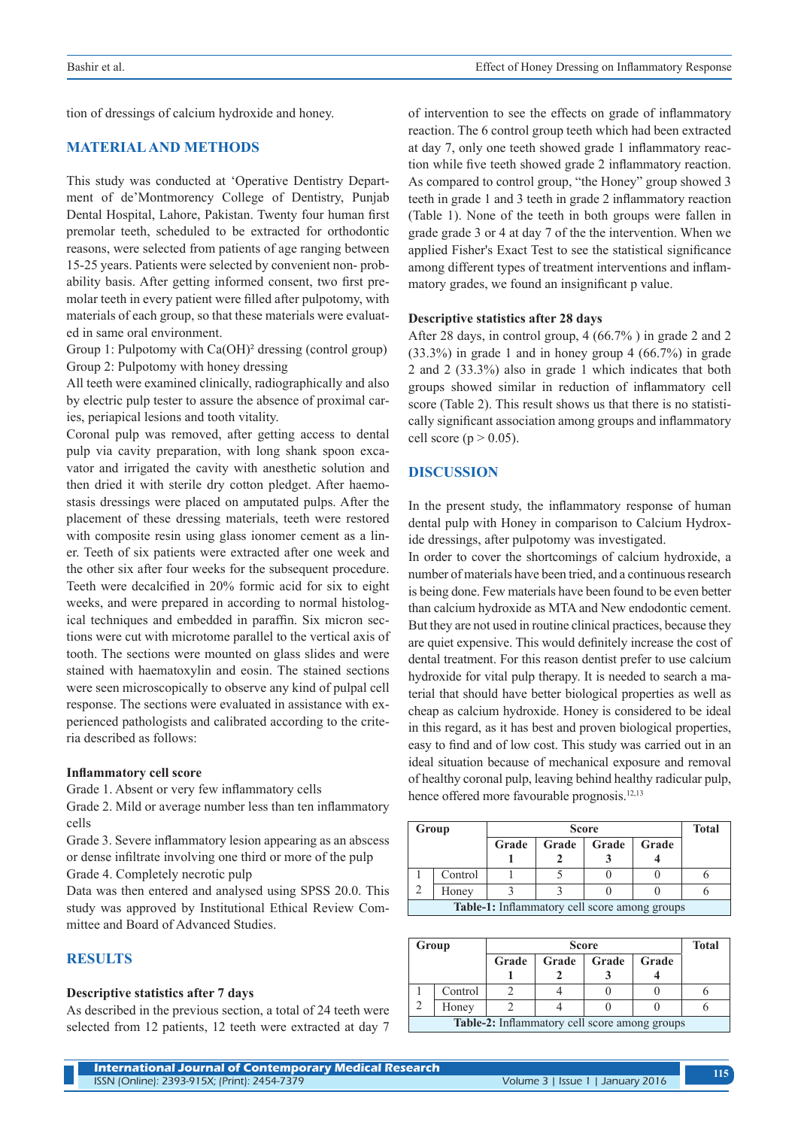tion of dressings of calcium hydroxide and honey.

## **MATERIAL AND METHODS**

This study was conducted at 'Operative Dentistry Department of de'Montmorency College of Dentistry, Punjab Dental Hospital, Lahore, Pakistan. Twenty four human first premolar teeth, scheduled to be extracted for orthodontic reasons, were selected from patients of age ranging between 15-25 years. Patients were selected by convenient non- probability basis. After getting informed consent, two first premolar teeth in every patient were filled after pulpotomy, with materials of each group, so that these materials were evaluated in same oral environment.

Group 1: Pulpotomy with Ca(OH)² dressing (control group) Group 2: Pulpotomy with honey dressing

All teeth were examined clinically, radiographically and also by electric pulp tester to assure the absence of proximal caries, periapical lesions and tooth vitality.

Coronal pulp was removed, after getting access to dental pulp via cavity preparation, with long shank spoon excavator and irrigated the cavity with anesthetic solution and then dried it with sterile dry cotton pledget. After haemostasis dressings were placed on amputated pulps. After the placement of these dressing materials, teeth were restored with composite resin using glass ionomer cement as a liner. Teeth of six patients were extracted after one week and the other six after four weeks for the subsequent procedure. Teeth were decalcified in 20% formic acid for six to eight weeks, and were prepared in according to normal histological techniques and embedded in paraffin. Six micron sections were cut with microtome parallel to the vertical axis of tooth. The sections were mounted on glass slides and were stained with haematoxylin and eosin. The stained sections were seen microscopically to observe any kind of pulpal cell response. The sections were evaluated in assistance with experienced pathologists and calibrated according to the criteria described as follows:

#### **Inflammatory cell score**

Grade 1. Absent or very few inflammatory cells

Grade 2. Mild or average number less than ten inflammatory cells

Grade 3. Severe inflammatory lesion appearing as an abscess or dense infiltrate involving one third or more of the pulp

Grade 4. Completely necrotic pulp

Data was then entered and analysed using SPSS 20.0. This study was approved by Institutional Ethical Review Committee and Board of Advanced Studies.

## **RESULTS**

#### **Descriptive statistics after 7 days**

As described in the previous section, a total of 24 teeth were selected from 12 patients, 12 teeth were extracted at day 7 of intervention to see the effects on grade of inflammatory reaction. The 6 control group teeth which had been extracted at day 7, only one teeth showed grade 1 inflammatory reaction while five teeth showed grade 2 inflammatory reaction. As compared to control group, "the Honey" group showed 3 teeth in grade 1 and 3 teeth in grade 2 inflammatory reaction (Table 1). None of the teeth in both groups were fallen in grade grade 3 or 4 at day 7 of the the intervention. When we applied Fisher's Exact Test to see the statistical significance among different types of treatment interventions and inflammatory grades, we found an insignificant p value.

#### **Descriptive statistics after 28 days**

After 28 days, in control group, 4 (66.7% ) in grade 2 and 2 (33.3%) in grade 1 and in honey group 4 (66.7%) in grade 2 and 2 (33.3%) also in grade 1 which indicates that both groups showed similar in reduction of inflammatory cell score (Table 2). This result shows us that there is no statistically significant association among groups and inflammatory cell score ( $p > 0.05$ ).

### **DISCUSSION**

In the present study, the inflammatory response of human dental pulp with Honey in comparison to Calcium Hydroxide dressings, after pulpotomy was investigated.

In order to cover the shortcomings of calcium hydroxide, a number of materials have been tried, and a continuous research is being done. Few materials have been found to be even better than calcium hydroxide as MTA and New endodontic cement. But they are not used in routine clinical practices, because they are quiet expensive. This would definitely increase the cost of dental treatment. For this reason dentist prefer to use calcium hydroxide for vital pulp therapy. It is needed to search a material that should have better biological properties as well as cheap as calcium hydroxide. Honey is considered to be ideal in this regard, as it has best and proven biological properties, easy to find and of low cost. This study was carried out in an ideal situation because of mechanical exposure and removal of healthy coronal pulp, leaving behind healthy radicular pulp, hence offered more favourable prognosis.<sup>12,13</sup>

| Group                                                |         |       | <b>Total</b> |       |       |  |  |  |  |
|------------------------------------------------------|---------|-------|--------------|-------|-------|--|--|--|--|
|                                                      |         | Grade | Grade        | Grade | Grade |  |  |  |  |
|                                                      |         |       |              |       |       |  |  |  |  |
|                                                      | Control |       |              |       |       |  |  |  |  |
|                                                      | Honey   |       |              |       |       |  |  |  |  |
| <b>Table-1:</b> Inflammatory cell score among groups |         |       |              |       |       |  |  |  |  |

| Group                                         |         |       | <b>Total</b> |       |       |  |  |  |  |
|-----------------------------------------------|---------|-------|--------------|-------|-------|--|--|--|--|
|                                               |         | Grade | Grade        | Grade | Grade |  |  |  |  |
|                                               |         |       |              |       |       |  |  |  |  |
|                                               | Control |       |              |       |       |  |  |  |  |
|                                               | Honey   |       |              |       |       |  |  |  |  |
| Table-2: Inflammatory cell score among groups |         |       |              |       |       |  |  |  |  |